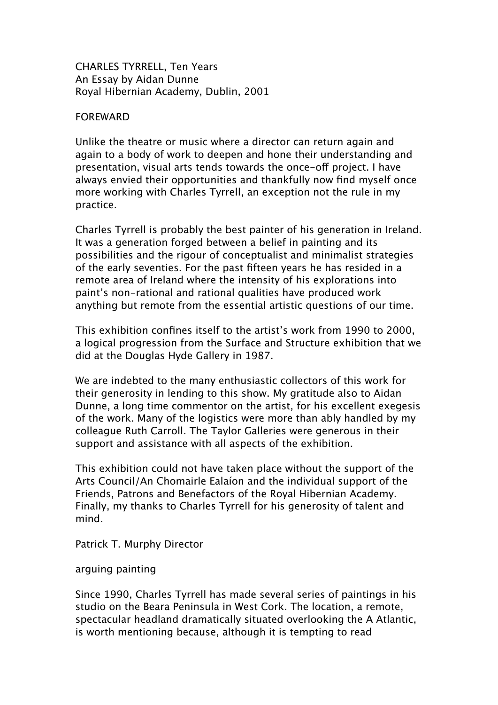## CHARLES TYRRELL, Ten Years An Essay by Aidan Dunne Royal Hibernian Academy, Dublin, 2001

## FOREWARD

Unlike the theatre or music where a director can return again and again to a body of work to deepen and hone their understanding and presentation, visual arts tends towards the once-off project. I have always envied their opportunities and thankfully now find myself once more working with Charles Tyrrell, an exception not the rule in my practice.

Charles Tyrrell is probably the best painter of his generation in Ireland. It was a generation forged between a belief in painting and its possibilities and the rigour of conceptualist and minimalist strategies of the early seventies. For the past fifteen years he has resided in a remote area of Ireland where the intensity of his explorations into paint's non-rational and rational qualities have produced work anything but remote from the essential artistic questions of our time.

This exhibition confines itself to the artist's work from 1990 to 2000, a logical progression from the Surface and Structure exhibition that we did at the Douglas Hyde Gallery in 1987.

We are indebted to the many enthusiastic collectors of this work for their generosity in lending to this show. My gratitude also to Aidan Dunne, a long time commentor on the artist, for his excellent exegesis of the work. Many of the logistics were more than ably handled by my colleague Ruth Carroll. The Taylor Galleries were generous in their support and assistance with all aspects of the exhibition.

This exhibition could not have taken place without the support of the Arts Council/An Chomairle Ealaíon and the individual support of the Friends, Patrons and Benefactors of the Royal Hibernian Academy. Finally, my thanks to Charles Tyrrell for his generosity of talent and mind.

Patrick T. Murphy Director

## arguing painting

Since 1990, Charles Tyrrell has made several series of paintings in his studio on the Beara Peninsula in West Cork. The location, a remote, spectacular headland dramatically situated overlooking the A Atlantic, is worth mentioning because, although it is tempting to read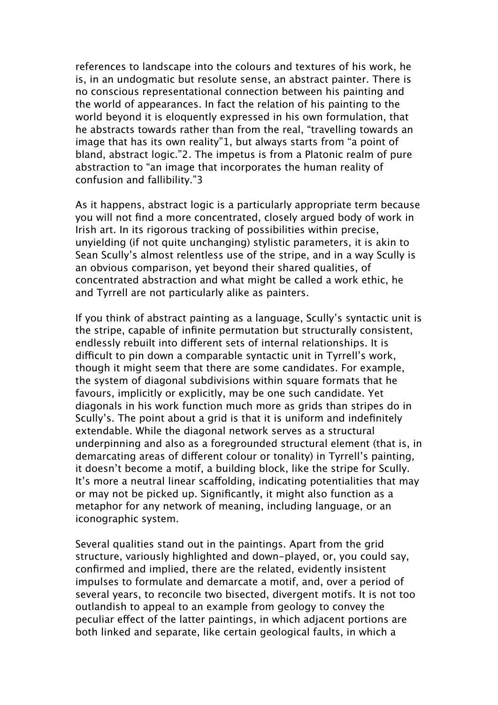references to landscape into the colours and textures of his work, he is, in an undogmatic but resolute sense, an abstract painter. There is no conscious representational connection between his painting and the world of appearances. In fact the relation of his painting to the world beyond it is eloquently expressed in his own formulation, that he abstracts towards rather than from the real, "travelling towards an image that has its own reality"1, but always starts from "a point of bland, abstract logic."2. The impetus is from a Platonic realm of pure abstraction to "an image that incorporates the human reality of confusion and fallibility."3

As it happens, abstract logic is a particularly appropriate term because you will not find a more concentrated, closely argued body of work in Irish art. In its rigorous tracking of possibilities within precise, unyielding (if not quite unchanging) stylistic parameters, it is akin to Sean Scully's almost relentless use of the stripe, and in a way Scully is an obvious comparison, yet beyond their shared qualities, of concentrated abstraction and what might be called a work ethic, he and Tyrrell are not particularly alike as painters.

If you think of abstract painting as a language, Scully's syntactic unit is the stripe, capable of infinite permutation but structurally consistent, endlessly rebuilt into different sets of internal relationships. It is difficult to pin down a comparable syntactic unit in Tyrrell's work, though it might seem that there are some candidates. For example, the system of diagonal subdivisions within square formats that he favours, implicitly or explicitly, may be one such candidate. Yet diagonals in his work function much more as grids than stripes do in Scully's. The point about a grid is that it is uniform and indefinitely extendable. While the diagonal network serves as a structural underpinning and also as a foregrounded structural element (that is, in demarcating areas of different colour or tonality) in Tyrrell's painting, it doesn't become a motif, a building block, like the stripe for Scully. It's more a neutral linear scaffolding, indicating potentialities that may or may not be picked up. Significantly, it might also function as a metaphor for any network of meaning, including language, or an iconographic system.

Several qualities stand out in the paintings. Apart from the grid structure, variously highlighted and down-played, or, you could say, confirmed and implied, there are the related, evidently insistent impulses to formulate and demarcate a motif, and, over a period of several years, to reconcile two bisected, divergent motifs. It is not too outlandish to appeal to an example from geology to convey the peculiar effect of the latter paintings, in which adjacent portions are both linked and separate, like certain geological faults, in which a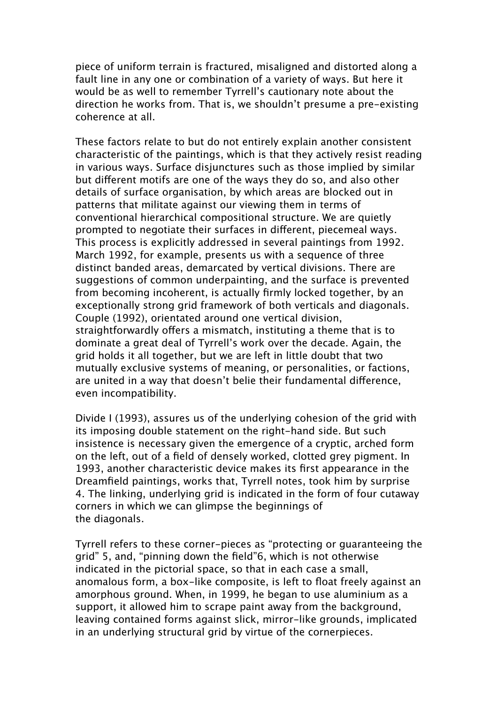piece of uniform terrain is fractured, misaligned and distorted along a fault line in any one or combination of a variety of ways. But here it would be as well to remember Tyrrell's cautionary note about the direction he works from. That is, we shouldn't presume a pre-existing coherence at all.

These factors relate to but do not entirely explain another consistent characteristic of the paintings, which is that they actively resist reading in various ways. Surface disjunctures such as those implied by similar but different motifs are one of the ways they do so, and also other details of surface organisation, by which areas are blocked out in patterns that militate against our viewing them in terms of conventional hierarchical compositional structure. We are quietly prompted to negotiate their surfaces in different, piecemeal ways. This process is explicitly addressed in several paintings from 1992. March 1992, for example, presents us with a sequence of three distinct banded areas, demarcated by vertical divisions. There are suggestions of common underpainting, and the surface is prevented from becoming incoherent, is actually firmly locked together, by an exceptionally strong grid framework of both verticals and diagonals. Couple (1992), orientated around one vertical division, straightforwardly offers a mismatch, instituting a theme that is to dominate a great deal of Tyrrell's work over the decade. Again, the grid holds it all together, but we are left in little doubt that two mutually exclusive systems of meaning, or personalities, or factions, are united in a way that doesn't belie their fundamental difference, even incompatibility.

Divide I (1993), assures us of the underlying cohesion of the grid with its imposing double statement on the right-hand side. But such insistence is necessary given the emergence of a cryptic, arched form on the left, out of a field of densely worked, clotted grey pigment. In 1993, another characteristic device makes its first appearance in the Dreamfield paintings, works that, Tyrrell notes, took him by surprise 4. The linking, underlying grid is indicated in the form of four cutaway corners in which we can glimpse the beginnings of the diagonals.

Tyrrell refers to these corner-pieces as "protecting or guaranteeing the grid" 5, and, "pinning down the field"6, which is not otherwise indicated in the pictorial space, so that in each case a small, anomalous form, a box-like composite, is left to float freely against an amorphous ground. When, in 1999, he began to use aluminium as a support, it allowed him to scrape paint away from the background, leaving contained forms against slick, mirror-like grounds, implicated in an underlying structural grid by virtue of the cornerpieces.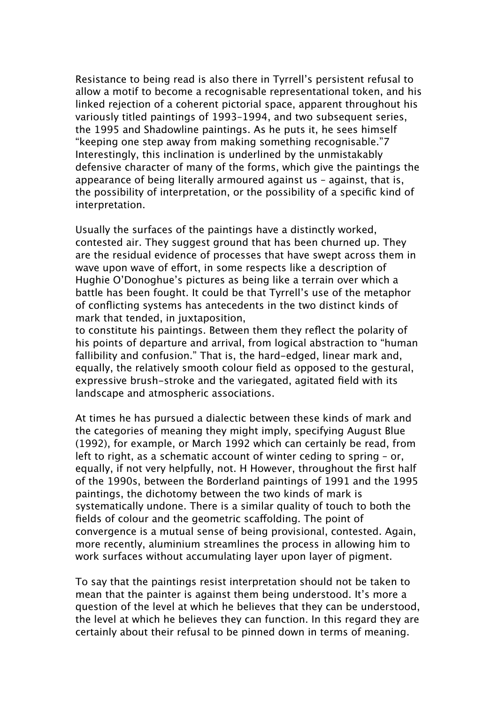Resistance to being read is also there in Tyrrell's persistent refusal to allow a motif to become a recognisable representational token, and his linked rejection of a coherent pictorial space, apparent throughout his variously titled paintings of 1993–1994, and two subsequent series, the 1995 and Shadowline paintings. As he puts it, he sees himself "keeping one step away from making something recognisable."7 Interestingly, this inclination is underlined by the unmistakably defensive character of many of the forms, which give the paintings the appearance of being literally armoured against us – against, that is, the possibility of interpretation, or the possibility of a specific kind of interpretation.

Usually the surfaces of the paintings have a distinctly worked, contested air. They suggest ground that has been churned up. They are the residual evidence of processes that have swept across them in wave upon wave of effort, in some respects like a description of Hughie O'Donoghue's pictures as being like a terrain over which a battle has been fought. It could be that Tyrrell's use of the metaphor of conflicting systems has antecedents in the two distinct kinds of mark that tended, in juxtaposition,

to constitute his paintings. Between them they reflect the polarity of his points of departure and arrival, from logical abstraction to "human fallibility and confusion." That is, the hard-edged, linear mark and, equally, the relatively smooth colour field as opposed to the gestural, expressive brush-stroke and the variegated, agitated field with its landscape and atmospheric associations.

At times he has pursued a dialectic between these kinds of mark and the categories of meaning they might imply, specifying August Blue (1992), for example, or March 1992 which can certainly be read, from left to right, as a schematic account of winter ceding to spring – or, equally, if not very helpfully, not. H However, throughout the first half of the 1990s, between the Borderland paintings of 1991 and the 1995 paintings, the dichotomy between the two kinds of mark is systematically undone. There is a similar quality of touch to both the fields of colour and the geometric scaffolding. The point of convergence is a mutual sense of being provisional, contested. Again, more recently, aluminium streamlines the process in allowing him to work surfaces without accumulating layer upon layer of pigment.

To say that the paintings resist interpretation should not be taken to mean that the painter is against them being understood. It's more a question of the level at which he believes that they can be understood, the level at which he believes they can function. In this regard they are certainly about their refusal to be pinned down in terms of meaning.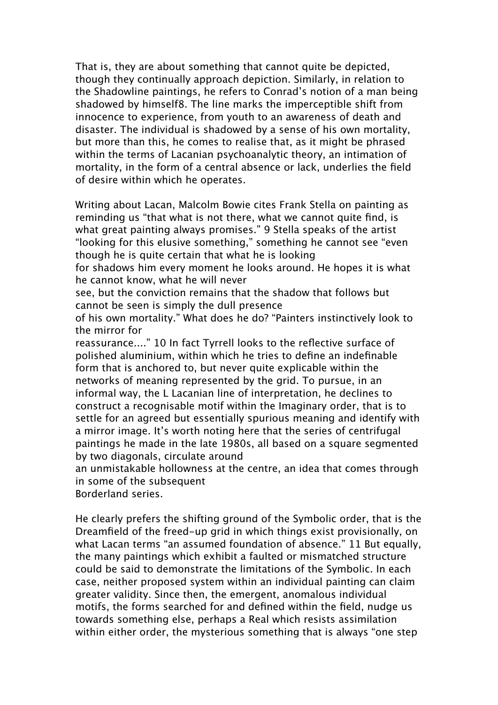That is, they are about something that cannot quite be depicted, though they continually approach depiction. Similarly, in relation to the Shadowline paintings, he refers to Conrad's notion of a man being shadowed by himself8. The line marks the imperceptible shift from innocence to experience, from youth to an awareness of death and disaster. The individual is shadowed by a sense of his own mortality, but more than this, he comes to realise that, as it might be phrased within the terms of Lacanian psychoanalytic theory, an intimation of mortality, in the form of a central absence or lack, underlies the field of desire within which he operates.

Writing about Lacan, Malcolm Bowie cites Frank Stella on painting as reminding us "that what is not there, what we cannot quite find, is what great painting always promises." 9 Stella speaks of the artist "looking for this elusive something," something he cannot see "even though he is quite certain that what he is looking

for shadows him every moment he looks around. He hopes it is what he cannot know, what he will never

see, but the conviction remains that the shadow that follows but cannot be seen is simply the dull presence

of his own mortality." What does he do? "Painters instinctively look to the mirror for

reassurance...." 10 In fact Tyrrell looks to the reflective surface of polished aluminium, within which he tries to define an indefinable form that is anchored to, but never quite explicable within the networks of meaning represented by the grid. To pursue, in an informal way, the L Lacanian line of interpretation, he declines to construct a recognisable motif within the Imaginary order, that is to settle for an agreed but essentially spurious meaning and identify with a mirror image. It's worth noting here that the series of centrifugal paintings he made in the late 1980s, all based on a square segmented by two diagonals, circulate around

an unmistakable hollowness at the centre, an idea that comes through in some of the subsequent

Borderland series.

He clearly prefers the shifting ground of the Symbolic order, that is the Dreamfield of the freed-up grid in which things exist provisionally, on what Lacan terms "an assumed foundation of absence." 11 But equally, the many paintings which exhibit a faulted or mismatched structure could be said to demonstrate the limitations of the Symbolic. In each case, neither proposed system within an individual painting can claim greater validity. Since then, the emergent, anomalous individual motifs, the forms searched for and defined within the field, nudge us towards something else, perhaps a Real which resists assimilation within either order, the mysterious something that is always "one step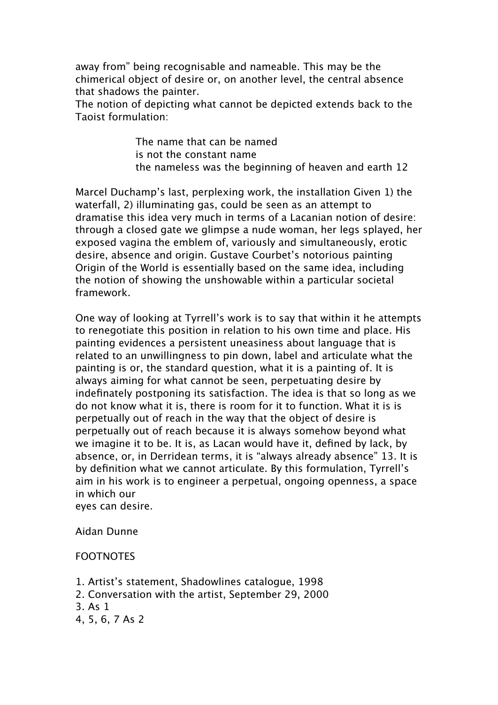away from" being recognisable and nameable. This may be the chimerical object of desire or, on another level, the central absence that shadows the painter.

The notion of depicting what cannot be depicted extends back to the Taoist formulation:

> The name that can be named is not the constant name the nameless was the beginning of heaven and earth 12

Marcel Duchamp's last, perplexing work, the installation Given 1) the waterfall, 2) illuminating gas, could be seen as an attempt to dramatise this idea very much in terms of a Lacanian notion of desire: through a closed gate we glimpse a nude woman, her legs splayed, her exposed vagina the emblem of, variously and simultaneously, erotic desire, absence and origin. Gustave Courbet's notorious painting Origin of the World is essentially based on the same idea, including the notion of showing the unshowable within a particular societal framework.

One way of looking at Tyrrell's work is to say that within it he attempts to renegotiate this position in relation to his own time and place. His painting evidences a persistent uneasiness about language that is related to an unwillingness to pin down, label and articulate what the painting is or, the standard question, what it is a painting of. It is always aiming for what cannot be seen, perpetuating desire by indefinately postponing its satisfaction. The idea is that so long as we do not know what it is, there is room for it to function. What it is is perpetually out of reach in the way that the object of desire is perpetually out of reach because it is always somehow beyond what we imagine it to be. It is, as Lacan would have it, defined by lack, by absence, or, in Derridean terms, it is "always already absence" 13. It is by definition what we cannot articulate. By this formulation, Tyrrell's aim in his work is to engineer a perpetual, ongoing openness, a space in which our eyes can desire.

Aidan Dunne

FOOTNOTES

- 1. Artist's statement, Shadowlines catalogue, 1998
- 2. Conversation with the artist, September 29, 2000
- 3. As 1
- 4, 5, 6, 7 As 2